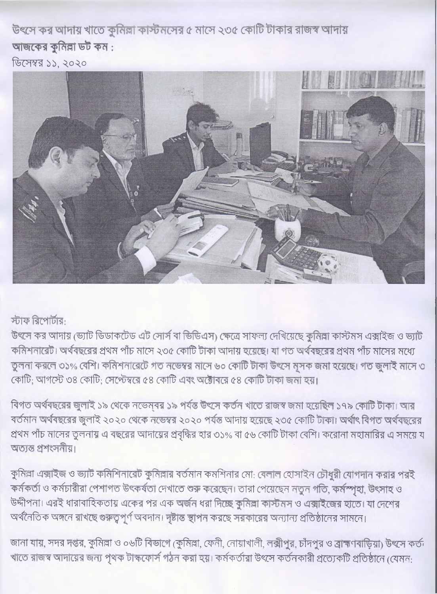উৎসে কর আদায় খাতে কুনিল্লা কাস্টনসের ৫ মাসে ২৩৫ কোটি টাকার রাজস্ব আদায় আজকের কুমিল্লা ডট কম:

ডিসেম্বর ১১, ২০২০



স্টাফ রিপোর্টার:

উৎসে কর আদায় ভ্যোট ডিডাকটেড এট সোর্স বা ভিডিএস) কেত্রে সাফল্য দেখিয়েছে কমিল্লা কাস্টমস এক্সাইজ ও ভ্যাট কমিশনারেট। অর্থবছরের প্রথম পাঁচ মাসে ২৩৫ কোটি টাকা আদায় হয়েছে। যা গত অর্থবছরের প্রথম পাঁচ মাসের মধ্যে তুলনা করলে ৩১% বেশি। কমিশনারেটে গত নভেম্বর মাসে ৬০ কোটি টাকা উৎসে মুসক জমা হয়েছে। গত জুলাই মাসে ৩ কোটি; আগস্টে ৩৪ কোটি; সেপ্টেম্বরে ৫৪ কোটি এবং অক্টোবরে ৫৪ কোটি টাকা জমা হয়।

বিগত অর্থবছরের জুলাই ১৯ থেকে নভেম্বর ১৯ পর্যন্ত উৎসে কর্তন খাতে রাজস্ব জমা হয়েছিল ১৭৯ কোটি টাকা। আর বৰ্তমান অৰ্থবছরের জুলাই ২০২০ থেকে নভেম্বর ২০২০ পর্যন্ত আদায় হয়েছে ২৩৫ কোটি টাকা। অর্থাৎ বিগত অর্থবছরের প্রথম পাঁচ মাসের তুলনায় এ বছরের আদায়ের প্রবৃদ্ধির হার ৩১% বা ৫৬ কোটি টাকা বেশি। করোনা মহামারির এ সময়ে য অত্যন্ত প্ৰশংসনীয়।

কুমিল্লা এক্সাইজ ও ভ্যাট কমিশিনারেট কুমিল্লার বর্তমান কমশিনার মো: বেলাল হোসাইন চৌধুরী যোগদান করার পরই কৰ্মকৰ্তা ও কৰ্মচারীরা পেশাগত উৎকৰ্ষতা দেখাতে শুরু করেছেন। তারা পেয়েছেন নতুন গতি, কর্মস্পৃহা, উৎসাহ ও উদ্দীপনা। এরই ধারাবাহিকতায় একের পর এক অর্জন ধরা দিচ্ছে কুমিল্লা কাস্টমস ও এক্সাইজের হাতে। যা দেশের অর্থনৈতিক অঙ্গনে রাখছে গুরুত্বপূর্ণ অবদান। দৃষ্টান্ত স্থাপন করছে সরকারের অন্যান্য প্রতিষ্ঠানের সামনে।

জানা যায়, সদর দপ্তর, কুমিল্লা ও ০৬টি বিভাগে (কুমিল্লা, ফেনী, নোয়াখালী, লক্সীপুর, চাঁদপুর ও ব্রাহ্মণবাড়িয়া) উৎসে কর্তন খাতে রাজস্ব আদায়ের জন্য পৃথক টাস্কফোর্স গঠন করা হয়। কর্মকর্তারা উৎসে কর্তনকারী প্রত্যেকটি প্রতিষ্ঠানে (যেমন: